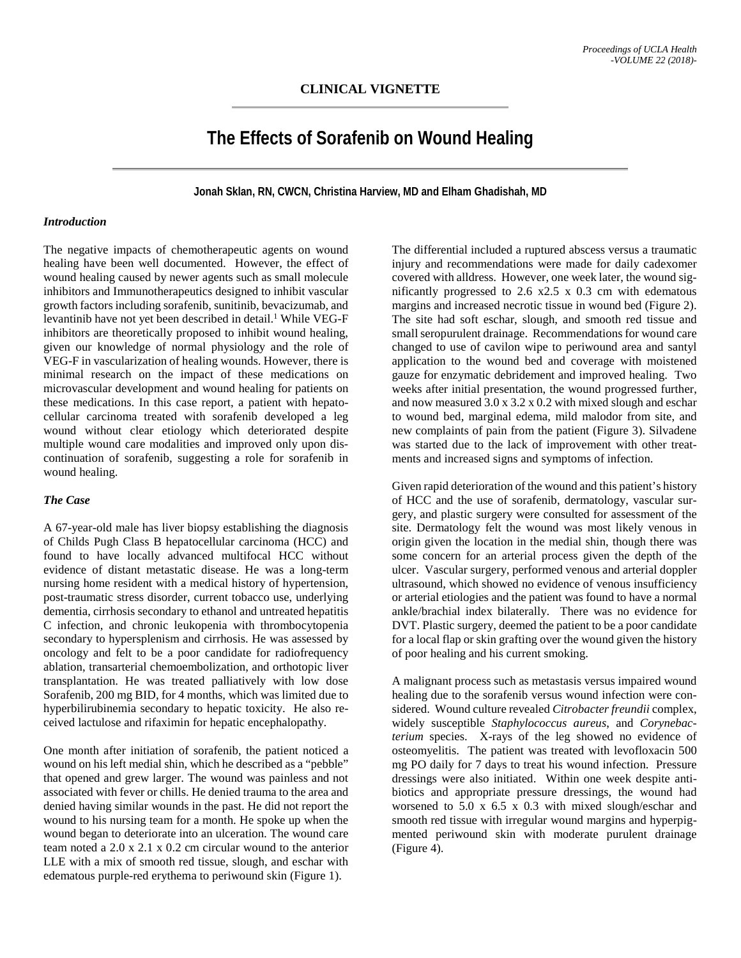# **The Effects of Sorafenib on Wound Healing**

**Jonah Sklan, RN, CWCN, Christina Harview, MD and Elham Ghadishah, MD**

#### *Introduction*

The negative impacts of chemotherapeutic agents on wound healing have been well documented. However, the effect of wound healing caused by newer agents such as small molecule inhibitors and Immunotherapeutics designed to inhibit vascular growth factors including sorafenib, sunitinib, bevacizumab, and levantinib have not yet been described in detail.<sup>1</sup> While VEG-F inhibitors are theoretically proposed to inhibit wound healing, given our knowledge of normal physiology and the role of VEG-F in vascularization of healing wounds. However, there is minimal research on the impact of these medications on microvascular development and wound healing for patients on these medications. In this case report, a patient with hepatocellular carcinoma treated with sorafenib developed a leg wound without clear etiology which deteriorated despite multiple wound care modalities and improved only upon discontinuation of sorafenib, suggesting a role for sorafenib in wound healing.

## *The Case*

A 67-year-old male has liver biopsy establishing the diagnosis of Childs Pugh Class B hepatocellular carcinoma (HCC) and found to have locally advanced multifocal HCC without evidence of distant metastatic disease. He was a long-term nursing home resident with a medical history of hypertension, post-traumatic stress disorder, current tobacco use, underlying dementia, cirrhosis secondary to ethanol and untreated hepatitis C infection, and chronic leukopenia with thrombocytopenia secondary to hypersplenism and cirrhosis. He was assessed by oncology and felt to be a poor candidate for radiofrequency ablation, transarterial chemoembolization, and orthotopic liver transplantation. He was treated palliatively with low dose Sorafenib, 200 mg BID, for 4 months, which was limited due to hyperbilirubinemia secondary to hepatic toxicity. He also received lactulose and rifaximin for hepatic encephalopathy.

One month after initiation of sorafenib, the patient noticed a wound on his left medial shin, which he described as a "pebble" that opened and grew larger. The wound was painless and not associated with fever or chills. He denied trauma to the area and denied having similar wounds in the past. He did not report the wound to his nursing team for a month. He spoke up when the wound began to deteriorate into an ulceration. The wound care team noted a 2.0 x 2.1 x 0.2 cm circular wound to the anterior LLE with a mix of smooth red tissue, slough, and eschar with edematous purple-red erythema to periwound skin (Figure 1).

The differential included a ruptured abscess versus a traumatic injury and recommendations were made for daily cadexomer covered with alldress. However, one week later, the wound significantly progressed to 2.6 x2.5 x 0.3 cm with edematous margins and increased necrotic tissue in wound bed (Figure 2). The site had soft eschar, slough, and smooth red tissue and small seropurulent drainage. Recommendations for wound care changed to use of cavilon wipe to periwound area and santyl application to the wound bed and coverage with moistened gauze for enzymatic debridement and improved healing. Two weeks after initial presentation, the wound progressed further, and now measured 3.0 x 3.2 x 0.2 with mixed slough and eschar to wound bed, marginal edema, mild malodor from site, and new complaints of pain from the patient (Figure 3). Silvadene was started due to the lack of improvement with other treatments and increased signs and symptoms of infection.

Given rapid deterioration of the wound and this patient's history of HCC and the use of sorafenib, dermatology, vascular surgery, and plastic surgery were consulted for assessment of the site. Dermatology felt the wound was most likely venous in origin given the location in the medial shin, though there was some concern for an arterial process given the depth of the ulcer. Vascular surgery, performed venous and arterial doppler ultrasound, which showed no evidence of venous insufficiency or arterial etiologies and the patient was found to have a normal ankle/brachial index bilaterally. There was no evidence for DVT. Plastic surgery, deemed the patient to be a poor candidate for a local flap or skin grafting over the wound given the history of poor healing and his current smoking.

A malignant process such as metastasis versus impaired wound healing due to the sorafenib versus wound infection were considered. Wound culture revealed *Citrobacter freundii* complex, widely susceptible *Staphylococcus aureus*, and *Corynebacterium* species. X-rays of the leg showed no evidence of osteomyelitis. The patient was treated with levofloxacin 500 mg PO daily for 7 days to treat his wound infection. Pressure dressings were also initiated. Within one week despite antibiotics and appropriate pressure dressings, the wound had worsened to 5.0 x 6.5 x 0.3 with mixed slough/eschar and smooth red tissue with irregular wound margins and hyperpigmented periwound skin with moderate purulent drainage (Figure 4).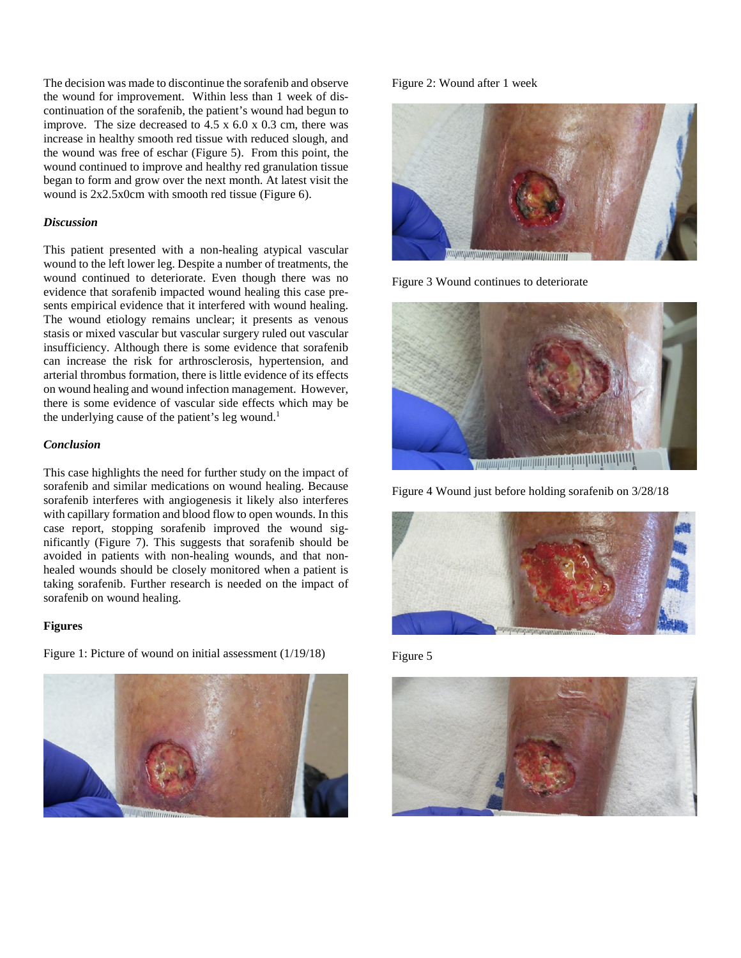The decision was made to discontinue the sorafenib and observe the wound for improvement. Within less than 1 week of discontinuation of the sorafenib, the patient's wound had begun to improve. The size decreased to 4.5 x 6.0 x 0.3 cm, there was increase in healthy smooth red tissue with reduced slough, and the wound was free of eschar (Figure 5). From this point, the wound continued to improve and healthy red granulation tissue began to form and grow over the next month. At latest visit the wound is 2x2.5x0cm with smooth red tissue (Figure 6).

## *Discussion*

This patient presented with a non-healing atypical vascular wound to the left lower leg. Despite a number of treatments, the wound continued to deteriorate. Even though there was no evidence that sorafenib impacted wound healing this case presents empirical evidence that it interfered with wound healing. The wound etiology remains unclear; it presents as venous stasis or mixed vascular but vascular surgery ruled out vascular insufficiency. Although there is some evidence that sorafenib can increase the risk for arthrosclerosis, hypertension, and arterial thrombus formation, there is little evidence of its effects on wound healing and wound infection management. However, there is some evidence of vascular side effects which may be the underlying cause of the patient's leg wound.<sup>1</sup>

# *Conclusion*

This case highlights the need for further study on the impact of sorafenib and similar medications on wound healing. Because sorafenib interferes with angiogenesis it likely also interferes with capillary formation and blood flow to open wounds. In this case report, stopping sorafenib improved the wound significantly (Figure 7). This suggests that sorafenib should be avoided in patients with non-healing wounds, and that nonhealed wounds should be closely monitored when a patient is taking sorafenib. Further research is needed on the impact of sorafenib on wound healing.

## **Figures**



Figure 1: Picture of wound on initial assessment (1/19/18)

#### Figure 2: Wound after 1 week



Figure 3 Wound continues to deteriorate



Figure 4 Wound just before holding sorafenib on 3/28/18



Figure 5